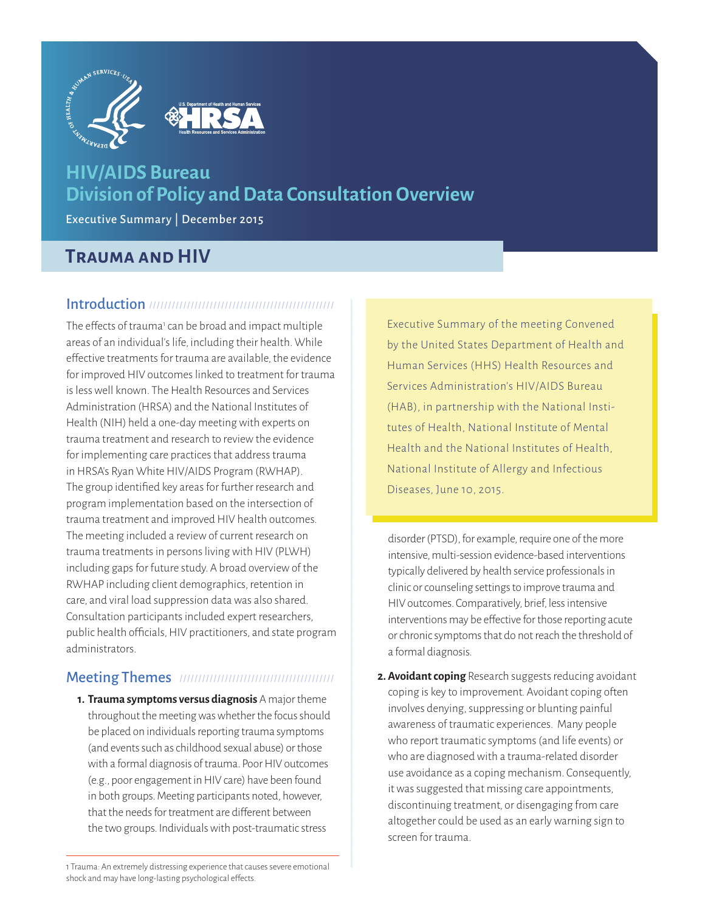

# **HIV/AIDS Bureau Division of Policy and Data Consultation Overview**

Executive Summary | December 2015

# **Trauma and HIV**

### Introduction /////////////////////////////////////////////////

The effects of trauma<sup>1</sup> can be broad and impact multiple areas of an individual's life, including their health. While effective treatments for trauma are available, the evidence for improved HIV outcomes linked to treatment for trauma is less well known. The Health Resources and Services Administration (HRSA) and the National Institutes of Health (NIH) held a one-day meeting with experts on trauma treatment and research to review the evidence for implementing care practices that address trauma in HRSA's Ryan White HIV/AIDS Program (RWHAP). The group identified key areas for further research and program implementation based on the intersection of trauma treatment and improved HIV health outcomes. The meeting included a review of current research on trauma treatments in persons living with HIV (PLWH) including gaps for future study. A broad overview of the RWHAP including client demographics, retention in care, and viral load suppression data was also shared. Consultation participants included expert researchers, public health officials, HIV practitioners, and state program administrators.

## Meeting Themes /////////////////////////////////////////

**1. Trauma symptoms versus diagnosis** A major theme throughout the meeting was whether the focus should be placed on individuals reporting trauma symptoms (and events such as childhood sexual abuse) or those with a formal diagnosis of trauma. Poor HIV outcomes (e.g., poor engagement in HIV care) have been found in both groups. Meeting participants noted, however, that the needs for treatment are different between the two groups. Individuals with post-traumatic stress

Executive Summary of the meeting Convened by the United States Department of Health and Human Services (HHS) Health Resources and Services Administration's HIV/AIDS Bureau (HAB), in partnership with the National Institutes of Health, National Institute of Mental Health and the National Institutes of Health, National Institute of Allergy and Infectious Diseases, June 10, 2015.

disorder (PTSD), for example, require one of the more intensive, multi-session evidence-based interventions typically delivered by health service professionals in clinic or counseling settings to improve trauma and HIV outcomes. Comparatively, brief, less intensive interventions may be effective for those reporting acute or chronic symptoms that do not reach the threshold of a formal diagnosis.

**2. Avoidant coping** Research suggests reducing avoidant coping is key to improvement. Avoidant coping often involves denying, suppressing or blunting painful awareness of traumatic experiences. Many people who report traumatic symptoms (and life events) or who are diagnosed with a trauma-related disorder use avoidance as a coping mechanism. Consequently, it was suggested that missing care appointments, discontinuing treatment, or disengaging from care altogether could be used as an early warning sign to screen for trauma.

1 Trauma: An extremely distressing experience that causes severe emotional shock and may have long-lasting psychological effects.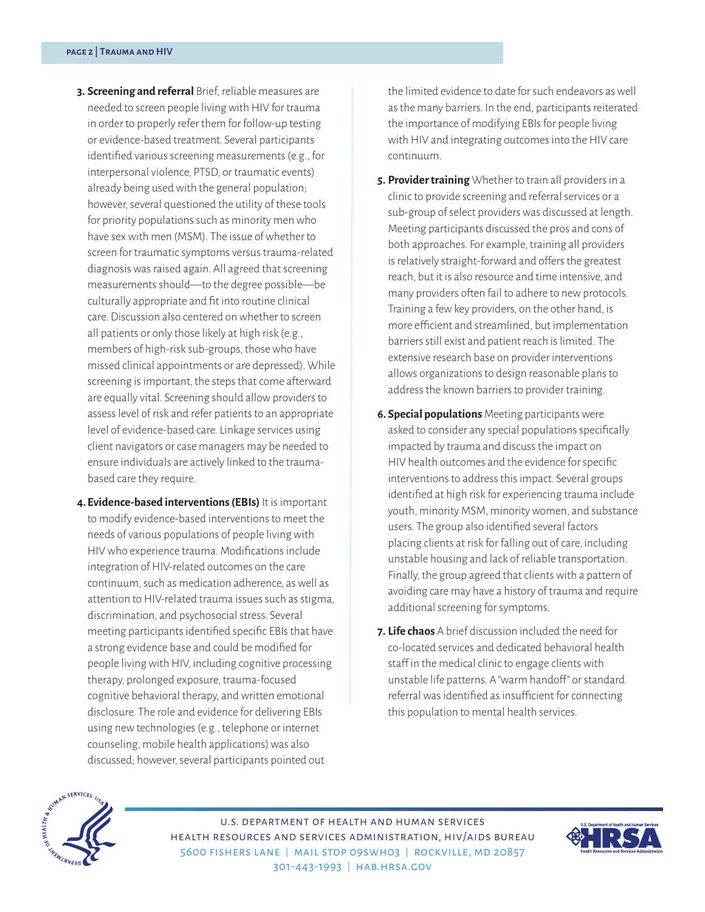- **3. Screening and referral** Brief, reliable measures are needed to screen people living with HIV for trauma in order to properly refer them for follow-up testing or evidence-based treatment. Several participants identified various screening measurements (e.g., for interpersonal violence, PTSD, or traumatic events) already being used with the general population; however, several questioned the utility of these tools for priority populations such as minority men who have sex with men (MSM). The issue of whether to screen for traumatic symptoms versus trauma-related diagnosis was raised again. All agreed that screening measurements should—to the degree possible—be culturally appropriate and fit into routine clinical care. Discussion also centered on whether to screen all patients or only those likely at high risk (e.g., members of high-risk sub-groups, those who have missed clinical appointments or are depressed). While screening is important, the steps that come afterward are equally vital. Screening should allow providers to assess level of risk and refer patients to an appropriate level of evidence-based care. Linkage services using client navigators or case managers may be needed to ensure individuals are actively linked to the traumabased care they require.
- **4. Evidence-based interventions (EBIs)** It is important to modify evidence-based interventions to meet the needs of various populations of people living with HIV who experience trauma. Modifications include integration of HIV-related outcomes on the care continuum, such as medication adherence, as well as attention to HIV-related trauma issues such as stigma, discrimination, and psychosocial stress. Several meeting participants identified specific EBIs that have a strong evidence base and could be modified for people living with HIV, including cognitive processing therapy, prolonged exposure, trauma-focused cognitive behavioral therapy, and written emotional disclosure. The role and evidence for delivering EBIs using new technologies (e.g., telephone or internet counseling, mobile health applications) was also discussed; however, several participants pointed out

the limited evidence to date for such endeavors as well as the many barriers. In the end, participants reiterated the importance of modifying EBIs for people living with HIV and integrating outcomes into the HIV care continuum.

- **5. Provider training** Whether to train all providers in a clinic to provide screening and referral services or a sub-group of select providers was discussed at length. Meeting participants discussed the pros and cons of both approaches. For example, training all providers is relatively straight-forward and offers the greatest reach, but it is also resource and time intensive, and many providers often fail to adhere to new protocols. Training a few key providers, on the other hand, is more efficient and streamlined, but implementation barriers still exist and patient reach is limited. The extensive research base on provider interventions allows organizations to design reasonable plans to address the known barriers to provider training.
- **6. Special populations** Meeting participants were asked to consider any special populations specifically impacted by trauma and discuss the impact on HIV health outcomes and the evidence for specific interventions to address this impact. Several groups identified at high risk for experiencing trauma include youth, minority MSM, minority women, and substance users. The group also identified several factors placing clients at risk for falling out of care, including unstable housing and lack of reliable transportation. Finally, the group agreed that clients with a pattern of avoiding care may have a history of trauma and require additional screening for symptoms.
- **7. Life chaos** A brief discussion included the need for co-located services and dedicated behavioral health staff in the medical clinic to engage clients with unstable life patterns. A "warm handoff" or standard referral was identified as insufficient for connecting this population to mental health services.



u.s. department of health and human services health resources and services administration, hiv/aids bureau 5600 fishers lane | mail stop 09swh03 | rockville, md 20857 301-443-1993 | [hab.hrsa.gov](http://hab.hrsa.gov)